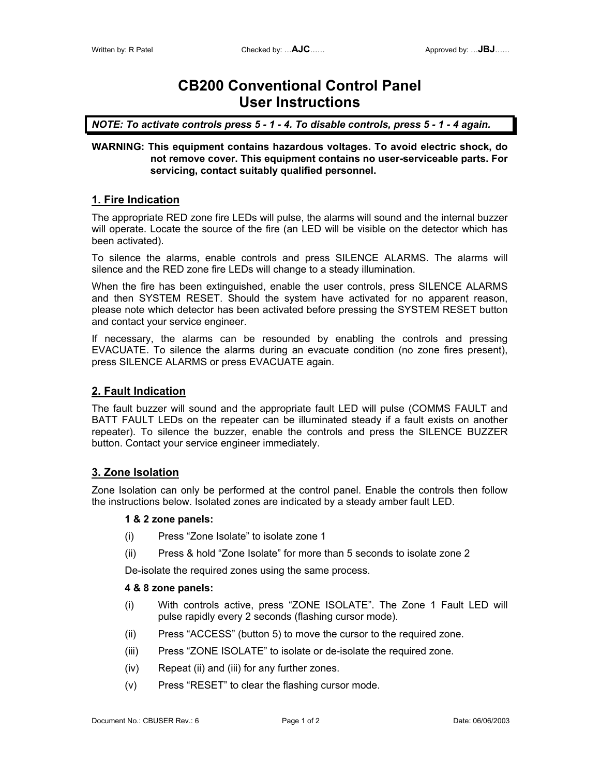# **CB200 Conventional Control Panel User Instructions**

*NOTE: To activate controls press 5 - 1 - 4. To disable controls, press 5 - 1 - 4 again.* 

#### **WARNING: This equipment contains hazardous voltages. To avoid electric shock, do not remove cover. This equipment contains no user-serviceable parts. For servicing, contact suitably qualified personnel.**

# **1. Fire Indication**

The appropriate RED zone fire LEDs will pulse, the alarms will sound and the internal buzzer will operate. Locate the source of the fire (an LED will be visible on the detector which has been activated).

To silence the alarms, enable controls and press SILENCE ALARMS. The alarms will silence and the RED zone fire LEDs will change to a steady illumination.

When the fire has been extinguished, enable the user controls, press SILENCE ALARMS and then SYSTEM RESET. Should the system have activated for no apparent reason, please note which detector has been activated before pressing the SYSTEM RESET button and contact your service engineer.

If necessary, the alarms can be resounded by enabling the controls and pressing EVACUATE. To silence the alarms during an evacuate condition (no zone fires present), press SILENCE ALARMS or press EVACUATE again.

### **2. Fault Indication**

The fault buzzer will sound and the appropriate fault LED will pulse (COMMS FAULT and BATT FAULT LEDs on the repeater can be illuminated steady if a fault exists on another repeater). To silence the buzzer, enable the controls and press the SILENCE BUZZER button. Contact your service engineer immediately.

# **3. Zone Isolation**

Zone Isolation can only be performed at the control panel. Enable the controls then follow the instructions below. Isolated zones are indicated by a steady amber fault LED.

#### **1 & 2 zone panels:**

- (i) Press "Zone Isolate" to isolate zone 1
- (ii) Press & hold "Zone Isolate" for more than 5 seconds to isolate zone 2

De-isolate the required zones using the same process.

#### **4 & 8 zone panels:**

- (i) With controls active, press "ZONE ISOLATE". The Zone 1 Fault LED will pulse rapidly every 2 seconds (flashing cursor mode).
- (ii) Press "ACCESS" (button 5) to move the cursor to the required zone.
- (iii) Press "ZONE ISOLATE" to isolate or de-isolate the required zone.
- (iv) Repeat (ii) and (iii) for any further zones.
- (v) Press "RESET" to clear the flashing cursor mode.